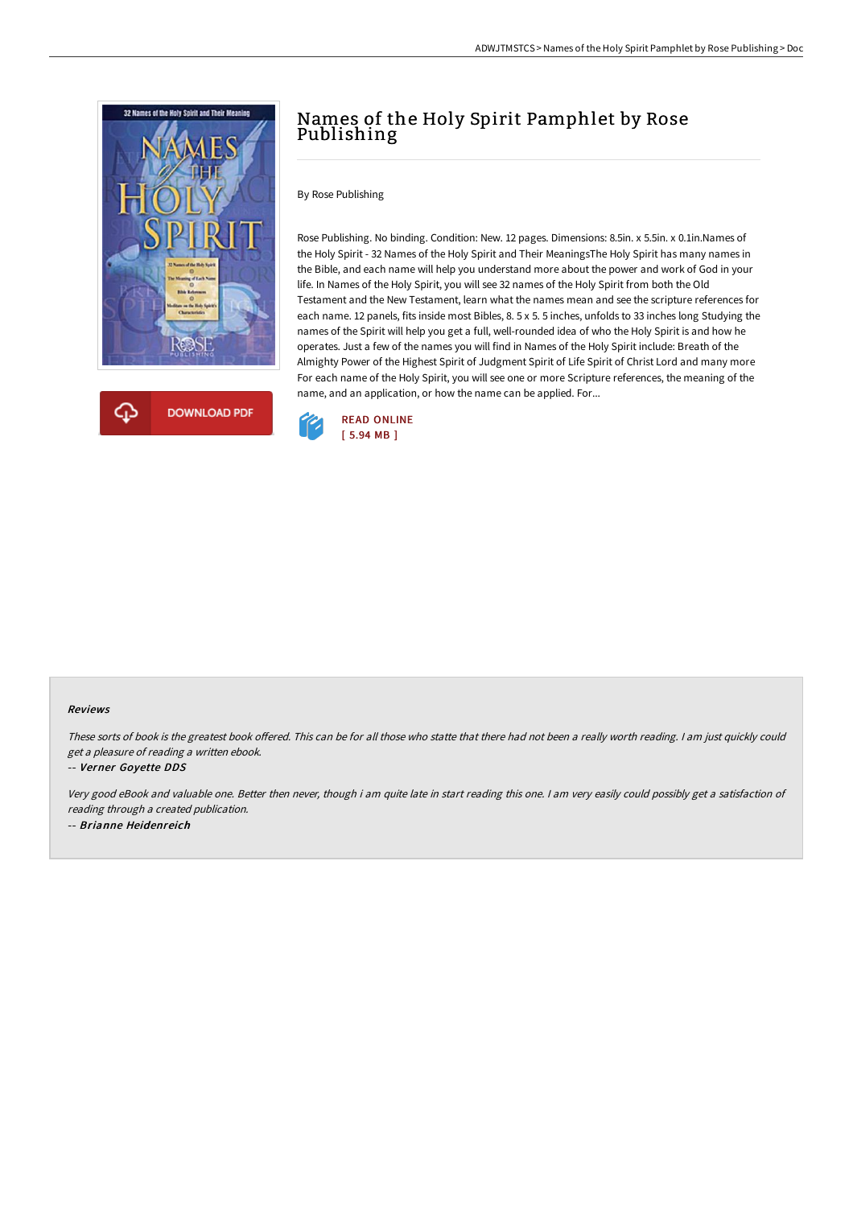



# Names of the Holy Spirit Pamphlet by Rose Publishing

By Rose Publishing

Rose Publishing. No binding. Condition: New. 12 pages. Dimensions: 8.5in. x 5.5in. x 0.1in.Names of the Holy Spirit - 32 Names of the Holy Spirit and Their MeaningsThe Holy Spirit has many names in the Bible, and each name will help you understand more about the power and work of God in your life. In Names of the Holy Spirit, you will see 32 names of the Holy Spirit from both the Old Testament and the New Testament, learn what the names mean and see the scripture references for each name. 12 panels, fits inside most Bibles, 8. 5 x 5. 5 inches, unfolds to 33 inches long Studying the names of the Spirit will help you get a full, well-rounded idea of who the Holy Spirit is and how he operates. Just a few of the names you will find in Names of the Holy Spirit include: Breath of the Almighty Power of the Highest Spirit of Judgment Spirit of Life Spirit of Christ Lord and many more For each name of the Holy Spirit, you will see one or more Scripture references, the meaning of the name, and an application, or how the name can be applied. For...



#### Reviews

These sorts of book is the greatest book offered. This can be for all those who statte that there had not been a really worth reading. I am just quickly could get <sup>a</sup> pleasure of reading <sup>a</sup> written ebook.

#### -- Verner Goyette DDS

Very good eBook and valuable one. Better then never, though i am quite late in start reading this one. <sup>I</sup> am very easily could possibly get <sup>a</sup> satisfaction of reading through <sup>a</sup> created publication. -- Brianne Heidenreich